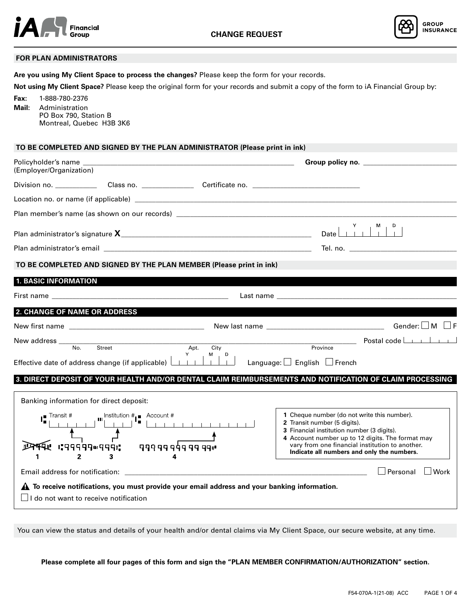

**Are you using My Client Space to process the changes?** Please keep the form for your records.



## **FOR PLAN ADMINISTRATORS**

**Not using My Client Space?** Please keep the original form for your records and submit a copy of the form to iA Financial Group by: **Fax:** 1-888-780-2376 **Mail:** Administration PO Box 790, Station B Montreal, Quebec H3B 3K6  **TO BE COMPLETED AND SIGNED BY THE PLAN ADMINISTRATOR (Please print in ink)** Policyholder's name \_\_\_\_\_\_\_\_\_\_\_\_\_\_\_\_\_\_\_\_\_\_\_\_\_\_\_\_\_\_\_\_\_\_\_\_\_\_\_\_\_\_\_\_\_\_\_\_\_\_\_\_\_\_\_\_\_\_\_\_\_ **Group policy no.** \_\_\_\_\_\_\_\_\_\_\_\_\_\_\_\_\_\_\_\_\_\_\_\_\_\_\_ (Employer/Organization) Division no. \_\_\_\_\_\_\_\_\_\_\_\_\_\_Class no. \_\_\_\_\_\_\_\_\_\_\_\_\_\_\_\_\_\_\_Certificate no. \_\_\_\_\_\_\_\_ Location no. or name (if applicable) \_\_\_\_\_\_\_\_\_\_\_\_\_\_\_\_\_\_\_\_\_\_\_\_\_\_\_\_\_\_\_\_\_\_\_\_\_\_\_\_\_\_\_\_\_\_\_\_\_\_\_\_\_\_\_\_\_\_\_\_\_\_\_\_\_\_\_\_\_\_\_\_\_\_\_\_\_\_\_\_\_\_\_\_\_\_\_\_\_\_\_\_\_ Plan member's name (as shown on our records) \_\_\_\_\_\_\_\_\_\_\_\_\_\_\_\_\_\_\_\_\_\_\_\_\_\_\_\_\_\_\_\_\_\_\_ Plan administrator's signature **X**\_\_\_\_\_\_\_\_\_\_\_\_\_\_\_\_\_\_\_\_\_\_\_\_\_\_\_\_\_\_\_\_\_\_\_\_\_\_\_\_\_\_\_\_\_\_\_\_\_\_\_\_\_\_\_ Date Plan administrator's email \_\_\_\_\_\_\_\_\_\_\_\_\_\_\_\_\_\_\_\_\_\_\_\_\_\_\_\_\_\_\_\_\_\_\_\_\_\_\_\_\_\_\_\_\_\_\_\_\_\_\_\_\_\_\_\_\_\_\_\_ Tel. no. \_\_\_\_\_\_\_\_\_\_\_\_\_\_\_\_\_\_\_\_\_\_\_\_\_\_\_\_\_\_\_  **TO BE COMPLETED AND SIGNED BY THE PLAN MEMBER (Please print in ink) 1. BASIC INFORMATION** First name \_\_\_\_\_\_\_\_\_\_\_\_\_\_\_\_\_\_\_\_\_\_\_\_\_\_\_\_\_\_\_\_\_\_\_\_\_\_\_\_\_\_\_\_\_\_\_\_\_\_\_ Last name \_\_\_\_\_\_\_\_\_\_\_\_\_\_\_\_\_\_\_\_\_\_\_\_\_\_\_\_\_\_\_\_\_\_\_\_\_\_\_\_\_\_\_\_\_\_\_\_\_\_\_\_ **2. CHANGE OF NAME OR ADDRESS** New first name \_\_\_\_\_\_\_\_\_\_\_\_\_\_\_\_\_\_\_\_\_\_\_\_\_\_\_\_\_\_\_\_\_\_\_\_\_\_\_ New last name \_\_\_\_\_\_\_\_\_\_\_\_\_\_\_\_\_\_\_\_\_\_\_\_\_\_\_\_\_\_\_\_\_\_ Gender: M F New address \_\_\_\_\_\_\_\_\_\_\_\_\_\_\_\_\_\_\_\_\_\_\_\_\_\_\_\_\_\_\_\_\_\_\_\_\_\_\_\_\_\_\_\_\_\_\_\_\_\_\_\_\_\_\_\_\_\_\_\_\_\_\_\_\_\_\_\_\_\_\_\_\_\_\_\_\_\_\_\_\_\_\_\_\_\_ Postal code Province B M Effective date of address change (if applicable)  $\Box$   $\Box$   $\Box$  Language:  $\Box$  English  $\Box$  French **3. DIRECT DEPOSIT OF YOUR HEALTH AND/OR DENTAL CLAIM REIMBURSEMENTS AND NOTIFICATION OF CLAIM PROCESSING** Banking information for direct deposit:  $\mathbf{H}$  Institution  $\mathbf{H}$  Account # **1** Cheque number (do not write this number). 1 1 1 1 1 1 1 1 1 1 1 1 1 **2** Transit number (5 digits).  $\overline{f}$ **3** Financial institution number (3 digits). **4** Account number up to 12 digits. The format may **IPPER IPPPPPINGER:** vary from one financial institution to another. 499999999999 **Indicate all numbers and only the numbers.**  $\overline{2}$  $\overline{\mathbf{3}}$  $\overline{\mathbf{4}}$ 1 Email address for notification: \_\_\_\_\_\_\_\_\_\_\_\_\_\_\_\_\_\_\_\_\_\_\_\_\_\_\_\_\_\_\_\_\_\_\_\_\_\_\_\_\_\_\_\_\_\_\_\_\_\_\_\_\_\_\_\_\_\_\_\_\_\_\_\_\_\_\_\_\_\_ Personal Work **A** To receive notifications, you must provide your email address and your banking information.  $\Box$  I do not want to receive notification

You can view the status and details of your health and/or dental claims via My Client Space, our secure website, at any time.

**Please complete all four pages of this form and sign the "PLAN MEMBER CONFIRMATION/AUTHORIZATION" section.**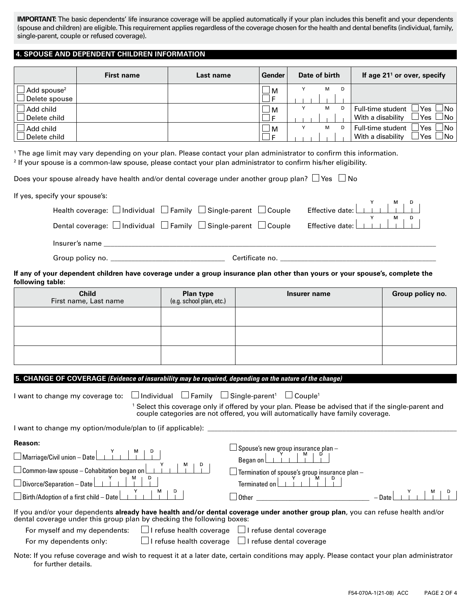**IMPORTANT:** The basic dependents' life insurance coverage will be applied automatically if your plan includes this benefit and your dependents (spouse and children) are eligible. This requirement applies regardless of the coverage chosen for the health and dental benefits (individual, family, single-parent, couple or refused coverage).

# **4. SPOUSE AND DEPENDENT CHILDREN INFORMATION**

|                                          | <b>First name</b> | Last name | Gender | Date of birth | If age $211$ or over, specify                                              |
|------------------------------------------|-------------------|-----------|--------|---------------|----------------------------------------------------------------------------|
| $\Box$ Add spouse $^2$<br>Delete spouse  |                   |           | 'M     | м<br>D        |                                                                            |
| $\!\!\!\Box$ Add child<br>J Delete child |                   |           | 'M     | м<br>D        | ⊿No<br>Full-time student<br>lYes l<br>⊥No l<br>lYes l<br>With a disability |
| ⊿ Add child<br>Delete child              |                   |           | M      | м<br>D        | ⊥No l<br>Full-time student<br>Yes<br>⊥No l<br>With a disability<br>'Yes    |

<sup>1</sup> The age limit may vary depending on your plan. Please contact your plan administrator to confirm this information. <sup>2</sup> If your spouse is a common-law spouse, please contact your plan administrator to confirm his/her eligibility.

Does your spouse already have health and/or dental coverage under another group plan?  $\Box$  Yes  $\Box$  No

| If yes, specify your spouse's: |                                                                                                                                                                                     |  |
|--------------------------------|-------------------------------------------------------------------------------------------------------------------------------------------------------------------------------------|--|
|                                | Health coverage: $\square$ Individual $\square$ Family $\square$ Single-parent $\square$ Couple Effective date: $\begin{array}{c c} \gamma & \gamma & \gamma \\ \hline \end{array}$ |  |
|                                | Dental coverage: $\Box$ Individual $\Box$ Family $\Box$ Single-parent $\Box$ Couple                                                                                                 |  |
| Insurer's name                 |                                                                                                                                                                                     |  |
|                                |                                                                                                                                                                                     |  |

Group policy no. \_\_\_\_\_\_\_\_\_\_\_\_\_\_\_\_\_\_\_\_\_\_\_\_\_\_\_\_\_\_\_\_\_ Certificate no. \_\_\_\_\_\_\_\_\_\_\_\_\_\_\_\_\_\_\_\_\_\_\_\_\_\_\_\_\_\_\_\_\_\_\_\_\_\_\_\_\_\_\_\_\_

**If any of your dependent children have coverage under a group insurance plan other than yours or your spouse's, complete the following table:**

| <b>Child</b><br>First name, Last name | <b>Plan type</b><br>(e.g. school plan, etc.) | Insurer name | Group policy no. |
|---------------------------------------|----------------------------------------------|--------------|------------------|
|                                       |                                              |              |                  |
|                                       |                                              |              |                  |
|                                       |                                              |              |                  |

**5. CHANGE OF COVERAGE** *(Evidence of insurability may be required, depending on the nature of the change)*

| $\Box$ Individual $\;\;\Box$ Family $\;\;\Box$ Single-parent <sup>1</sup><br>I want to change my coverage to:                                                                                                                                                                                                                                                                                                                                                                                                                                                 | $\Box$ Couple <sup>1</sup>                                                                                                                                                                                                |          |  |  |  |  |
|---------------------------------------------------------------------------------------------------------------------------------------------------------------------------------------------------------------------------------------------------------------------------------------------------------------------------------------------------------------------------------------------------------------------------------------------------------------------------------------------------------------------------------------------------------------|---------------------------------------------------------------------------------------------------------------------------------------------------------------------------------------------------------------------------|----------|--|--|--|--|
|                                                                                                                                                                                                                                                                                                                                                                                                                                                                                                                                                               | Select this coverage only if offered by your plan. Please be advised that if the single-parent and<br>couple categories are not offered, you will automatically have family coverage.                                     |          |  |  |  |  |
| I want to change my option/module/plan to (if applicable):                                                                                                                                                                                                                                                                                                                                                                                                                                                                                                    |                                                                                                                                                                                                                           |          |  |  |  |  |
| <b>Reason:</b><br>Marriage/Civil union - Date<br>$\begin{tabular}{ c c c c c } \hline \multicolumn{1}{ c }{Common-law spouse-{\small Cohabitation}}\end{tabular} \begin{tabular}{ c c c c c } \hline $\times$ & $\hspace{0.5cm}$ & $\hspace{0.5cm}$ & $\hspace{0.5cm}$ & $\hspace{0.5cm}$ & $\hspace{0.5cm}$ \\ \hline \multicolumn{1}{ c }{\textbf{\emph{C}}}{\textbf{\emph{O}}}{\textbf{\emph{C}}}{\textbf{\emph{O}}} & $\hspace{0.5cm}$ & $\hspace{0.5cm}$ \\ \hline \end{tabular}$<br>Divorce/Separation - Date<br>Birth/Adoption of a first child - Date | $\lrcorner$ Spouse's new group insurance plan –<br>Began on $\begin{bmatrix} Y & 1 & 1 \\ 1 & 1 & 1 \end{bmatrix}$<br>Terminated on $\begin{array}{c c} \uparrow & \uparrow \\ \hline \end{array}$<br>$\Box$ Other $\Box$ | $-$ Date |  |  |  |  |
| If you and/or your dependents already have health and/or dental coverage under another group plan, you can refuse health and/or<br>dental coverage under this group plan by checking the following boxes:                                                                                                                                                                                                                                                                                                                                                     |                                                                                                                                                                                                                           |          |  |  |  |  |
| For myself and my dependents:                                                                                                                                                                                                                                                                                                                                                                                                                                                                                                                                 | $\Box$ I refuse health coverage $\Box$ I refuse dental coverage                                                                                                                                                           |          |  |  |  |  |
| For my dependents only:                                                                                                                                                                                                                                                                                                                                                                                                                                                                                                                                       | $\Box$ I refuse health coverage $\Box$ I refuse dental coverage                                                                                                                                                           |          |  |  |  |  |
| Neto If you refuse coverage and wich to request it at a later date, contain conditions mou qualy. Dlagos contact your plan administrator                                                                                                                                                                                                                                                                                                                                                                                                                      |                                                                                                                                                                                                                           |          |  |  |  |  |

Note: If you refuse coverage and wish to request it at a later date, certain conditions may apply. Please contact your plan administrator for further details.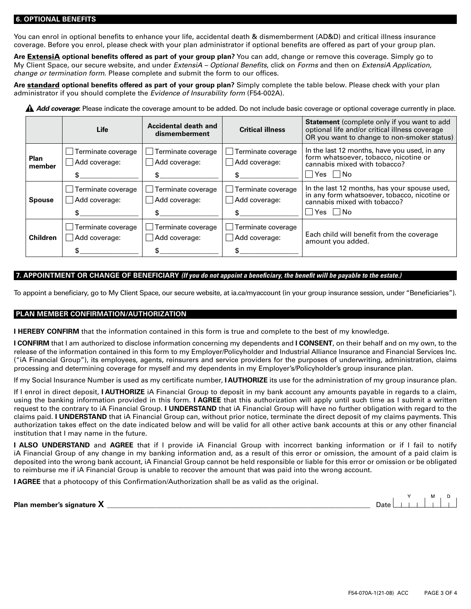#### **6. OPTIONAL BENEFITS**

You can enrol in optional benefits to enhance your life, accidental death & dismemberment (AD&D) and critical illness insurance coverage. Before you enrol, please check with your plan administrator if optional benefits are offered as part of your group plan.

**Are** ExtensiA **optional benefits offered as part of your group plan?** You can add, change or remove this coverage. Simply go to My Client Space, our secure website, and under *ExtensiA – Optional Benefits*, click on *Forms* and then on *ExtensiA Application, change or termination form*. Please complete and submit the form to our offices.

**Are** standard **optional benefits offered as part of your group plan?** Simply complete the table below. Please check with your plan administrator if you should complete the *Evidence of Insurability form* (F54-002A).

**A Add coverage**: Please indicate the coverage amount to be added. Do not include basic coverage or optional coverage currently in place.

|                       | Life                                | Accidental death and<br>dismemberment                 | <b>Critical illness</b>             | <b>Statement</b> (complete only if you want to add<br>optional life and/or critical illness coverage<br>OR you want to change to non-smoker status) |
|-----------------------|-------------------------------------|-------------------------------------------------------|-------------------------------------|-----------------------------------------------------------------------------------------------------------------------------------------------------|
| <b>Plan</b><br>member | Terminate coverage<br>Add coverage: | Terminate coverage<br>$\blacksquare$<br>Add coverage: | Terminate coverage<br>Add coverage: | In the last 12 months, have you used, in any<br>form whatsoever, tobacco, nicotine or<br>cannabis mixed with tobacco?<br> Yes   No                  |
| <b>Spouse</b>         | Terminate coverage<br>Add coverage: | Terminate coverage<br>Add coverage:                   | Terminate coverage<br>Add coverage: | In the last 12 months, has your spouse used,<br>in any form whatsoever, tobacco, nicotine or<br>cannabis mixed with tobacco?<br> Yes   No           |
| <b>Children</b>       | Terminate coverage<br>Add coverage: | Terminate coverage<br>Add coverage:                   | Terminate coverage<br>Add coverage: | Each child will benefit from the coverage<br>amount you added.                                                                                      |

## **7. APPOINTMENT OR CHANGE OF BENEFICIARY** *(If you do not appoint a beneficiary, the benefit will be payable to the estate.)*

To appoint a beneficiary, go to My Client Space, our secure website, at ia.ca/myaccount (in your group insurance session, under "Beneficiaries").

### **PLAN MEMBER CONFIRMATION/AUTHORIZATION**

**I HEREBY CONFIRM** that the information contained in this form is true and complete to the best of my knowledge.

**I CONFIRM** that I am authorized to disclose information concerning my dependents and **I CONSENT**, on their behalf and on my own, to the release of the information contained in this form to my Employer/Policyholder and Industrial Alliance Insurance and Financial Services Inc. ("iA Financial Group"), its employees, agents, reinsurers and service providers for the purposes of underwriting, administration, claims processing and determining coverage for myself and my dependents in my Employer's/Policyholder's group insurance plan.

If my Social Insurance Number is used as my certificate number, **I AUTHORIZE** its use for the administration of my group insurance plan.

If I enrol in direct deposit, **I AUTHORIZE** iA Financial Group to deposit in my bank account any amounts payable in regards to a claim, using the banking information provided in this form. **I AGREE** that this authorization will apply until such time as I submit a written request to the contrary to iA Financial Group. **I UNDERSTAND** that iA Financial Group will have no further obligation with regard to the claims paid. **I UNDERSTAND** that iA Financial Group can, without prior notice, terminate the direct deposit of my claims payments. This authorization takes effect on the date indicated below and will be valid for all other active bank accounts at this or any other financial institution that I may name in the future.

**I ALSO UNDERSTAND** and **AGREE** that if I provide iA Financial Group with incorrect banking information or if I fail to notify iA Financial Group of any change in my banking information and, as a result of this error or omission, the amount of a paid claim is deposited into the wrong bank account, iA Financial Group cannot be held responsible or liable for this error or omission or be obligated to reimburse me if iA Financial Group is unable to recover the amount that was paid into the wrong account.

**I AGREE** that a photocopy of this Confirmation/Authorization shall be as valid as the original.

Plan member's signature X

| Date l |  |  |  |  |
|--------|--|--|--|--|